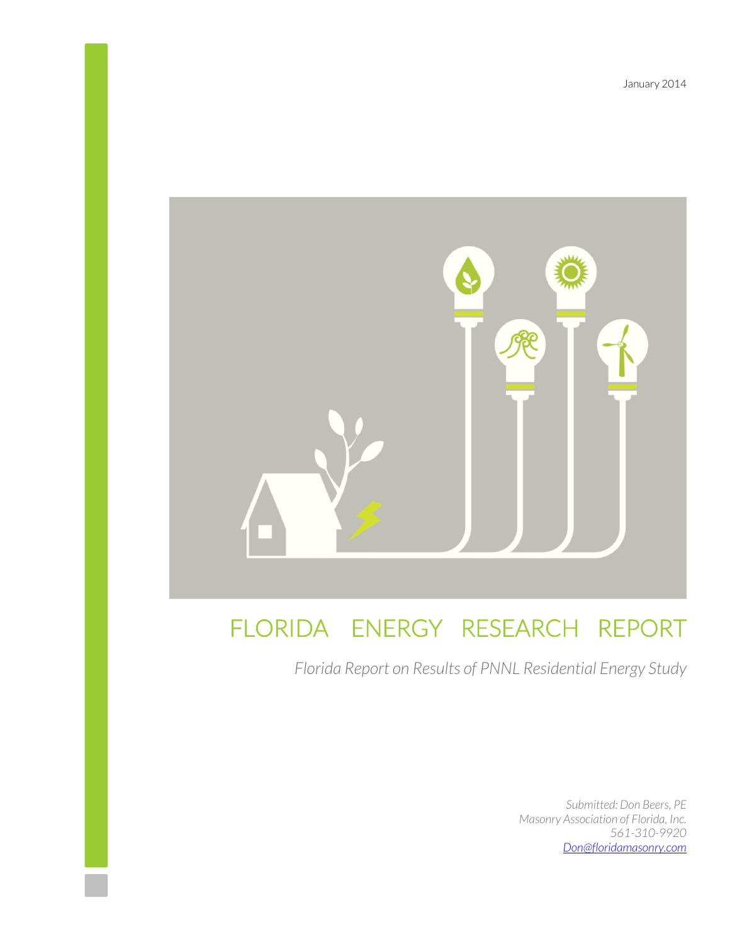January 2014



# FLORIDA ENERGY RESEARCH REPORT

*Florida Report on Results of PNNL Residential Energy Study* 

*Submitted: Don Beers, PE Masonry Association of Florida, Inc. 561-310-9920 Don@floridamasonry.com*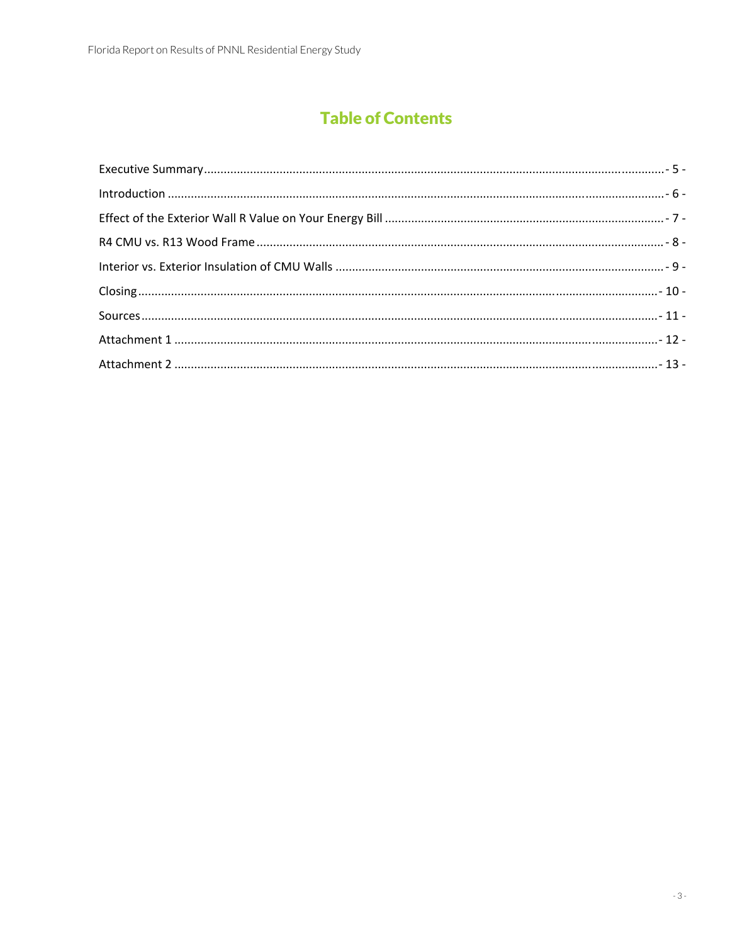# **Table of Contents**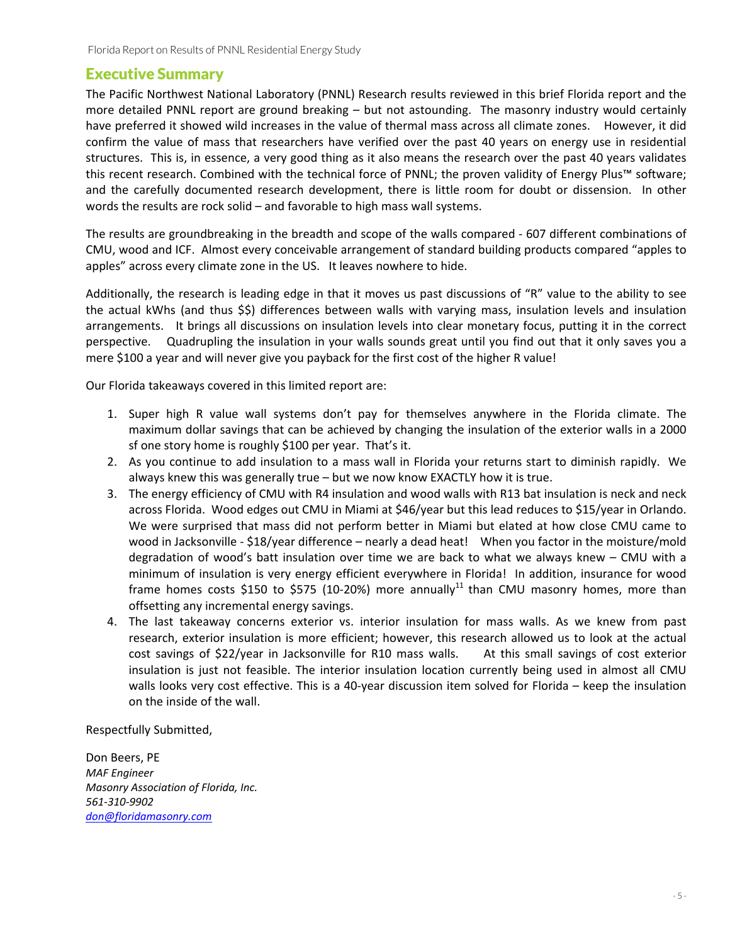## Executive Summary

The Pacific Northwest National Laboratory (PNNL) Research results reviewed in this brief Florida report and the more detailed PNNL report are ground breaking – but not astounding. The masonry industry would certainly have preferred it showed wild increases in the value of thermal mass across all climate zones. However, it did confirm the value of mass that researchers have verified over the past 40 years on energy use in residential structures. This is, in essence, a very good thing as it also means the research over the past 40 years validates this recent research. Combined with the technical force of PNNL; the proven validity of Energy Plus™ software; and the carefully documented research development, there is little room for doubt or dissension. In other words the results are rock solid – and favorable to high mass wall systems.

The results are groundbreaking in the breadth and scope of the walls compared ‐ 607 different combinations of CMU, wood and ICF. Almost every conceivable arrangement of standard building products compared "apples to apples" across every climate zone in the US. It leaves nowhere to hide.

Additionally, the research is leading edge in that it moves us past discussions of "R" value to the ability to see the actual kWhs (and thus \$\$) differences between walls with varying mass, insulation levels and insulation arrangements. It brings all discussions on insulation levels into clear monetary focus, putting it in the correct perspective. Quadrupling the insulation in your walls sounds great until you find out that it only saves you a mere \$100 a year and will never give you payback for the first cost of the higher R value!

Our Florida takeaways covered in this limited report are:

- 1. Super high R value wall systems don't pay for themselves anywhere in the Florida climate. The maximum dollar savings that can be achieved by changing the insulation of the exterior walls in a 2000 sf one story home is roughly \$100 per year. That's it.
- 2. As you continue to add insulation to a mass wall in Florida your returns start to diminish rapidly. We always knew this was generally true – but we now know EXACTLY how it is true.
- 3. The energy efficiency of CMU with R4 insulation and wood walls with R13 bat insulation is neck and neck across Florida. Wood edges out CMU in Miami at \$46/year but this lead reduces to \$15/year in Orlando. We were surprised that mass did not perform better in Miami but elated at how close CMU came to wood in Jacksonville - \$18/year difference – nearly a dead heat! When you factor in the moisture/mold degradation of wood's batt insulation over time we are back to what we always knew – CMU with a minimum of insulation is very energy efficient everywhere in Florida! In addition, insurance for wood frame homes costs \$150 to \$575 (10-20%) more annually<sup>11</sup> than CMU masonry homes, more than offsetting any incremental energy savings.
- 4. The last takeaway concerns exterior vs. interior insulation for mass walls. As we knew from past research, exterior insulation is more efficient; however, this research allowed us to look at the actual cost savings of \$22/year in Jacksonville for R10 mass walls. At this small savings of cost exterior insulation is just not feasible. The interior insulation location currently being used in almost all CMU walls looks very cost effective. This is a 40-year discussion item solved for Florida – keep the insulation on the inside of the wall.

Respectfully Submitted,

Don Beers, PE *MAF Engineer Masonry Association of Florida, Inc. 561‐310‐9902 don@floridamasonry.com*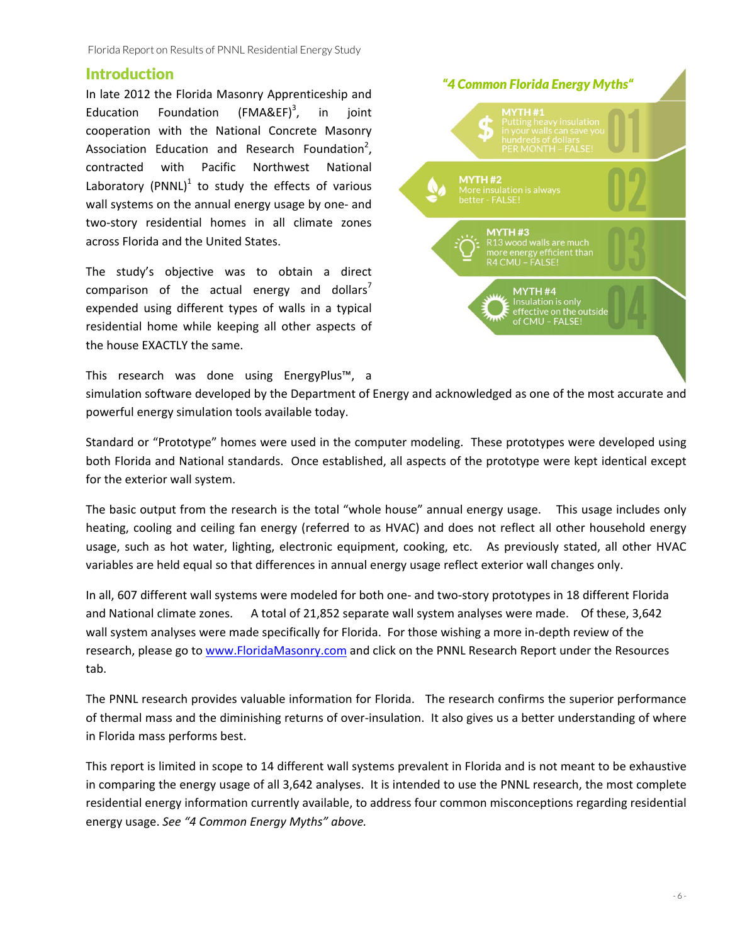### **Introduction**

In late 2012 the Florida Masonry Apprenticeship and Education Foundation  $(FMAREF)^3$ , , in joint cooperation with the National Concrete Masonry Association Education and Research Foundation<sup>2</sup>, contracted with Pacific Northwest National Laboratory (PNNL) $<sup>1</sup>$  to study the effects of various</sup> wall systems on the annual energy usage by one‐ and two‐story residential homes in all climate zones across Florida and the United States.

The study's objective was to obtain a direct comparison of the actual energy and dollars<sup>7</sup> expended using different types of walls in a typical residential home while keeping all other aspects of the house EXACTLY the same.

This research was done using EnergyPlus™, a



simulation software developed by the Department of Energy and acknowledged as one of the most accurate and powerful energy simulation tools available today.

Standard or "Prototype" homes were used in the computer modeling. These prototypes were developed using both Florida and National standards. Once established, all aspects of the prototype were kept identical except for the exterior wall system.

The basic output from the research is the total "whole house" annual energy usage. This usage includes only heating, cooling and ceiling fan energy (referred to as HVAC) and does not reflect all other household energy usage, such as hot water, lighting, electronic equipment, cooking, etc. As previously stated, all other HVAC variables are held equal so that differences in annual energy usage reflect exterior wall changes only.

In all, 607 different wall systems were modeled for both one- and two-story prototypes in 18 different Florida and National climate zones. A total of 21,852 separate wall system analyses were made. Of these, 3,642 wall system analyses were made specifically for Florida. For those wishing a more in‐depth review of the research, please go to www.FloridaMasonry.com and click on the PNNL Research Report under the Resources tab.

The PNNL research provides valuable information for Florida. The research confirms the superior performance of thermal mass and the diminishing returns of over‐insulation. It also gives us a better understanding of where in Florida mass performs best.

This report is limited in scope to 14 different wall systems prevalent in Florida and is not meant to be exhaustive in comparing the energy usage of all 3,642 analyses. It is intended to use the PNNL research, the most complete residential energy information currently available, to address four common misconceptions regarding residential energy usage. *See "4 Common Energy Myths" above.*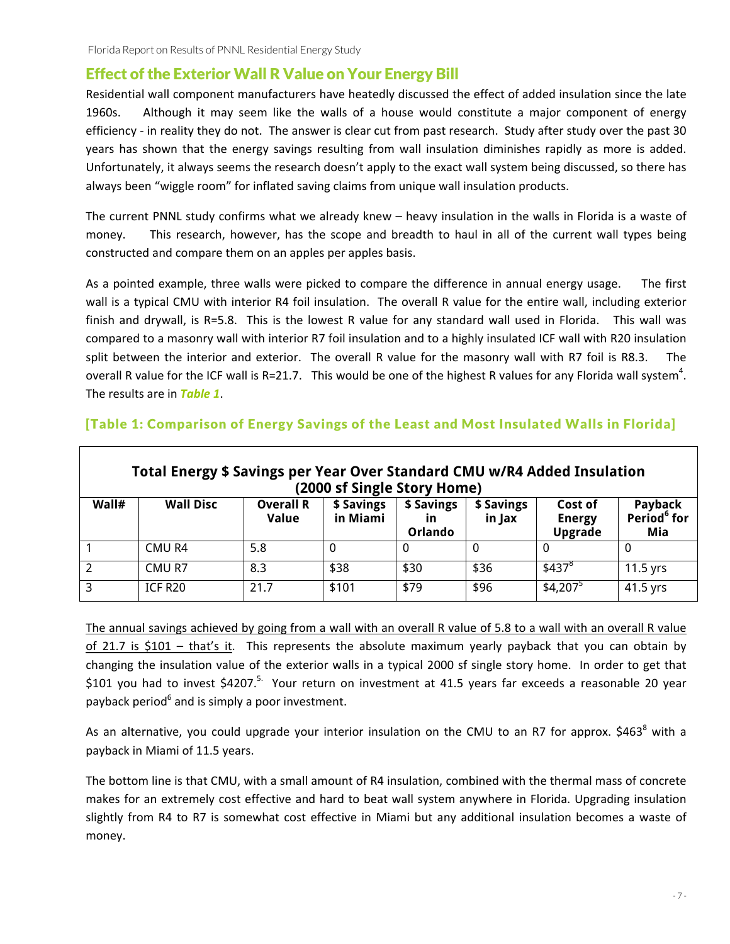# Effect of the Exterior Wall R Value on Your Energy Bill

Residential wall component manufacturers have heatedly discussed the effect of added insulation since the late 1960s. Although it may seem like the walls of a house would constitute a major component of energy efficiency - in reality they do not. The answer is clear cut from past research. Study after study over the past 30 years has shown that the energy savings resulting from wall insulation diminishes rapidly as more is added. Unfortunately, it always seems the research doesn't apply to the exact wall system being discussed, so there has always been "wiggle room" for inflated saving claims from unique wall insulation products.

The current PNNL study confirms what we already knew – heavy insulation in the walls in Florida is a waste of money. This research, however, has the scope and breadth to haul in all of the current wall types being constructed and compare them on an apples per apples basis.

As a pointed example, three walls were picked to compare the difference in annual energy usage. The first wall is a typical CMU with interior R4 foil insulation. The overall R value for the entire wall, including exterior finish and drywall, is R=5.8. This is the lowest R value for any standard wall used in Florida. This wall was compared to a masonry wall with interior R7 foil insulation and to a highly insulated ICF wall with R20 insulation split between the interior and exterior. The overall R value for the masonry wall with R7 foil is R8.3. The overall R value for the ICF wall is R=21.7. This would be one of the highest R values for any Florida wall system<sup>4</sup>. The results are in *Table 1*.

|       | Total Energy \$ Savings per Year Over Standard CMU w/R4 Added Insulation |                                  | (2000 sf Single Story Home) |                                    |                      |                                     |                                           |
|-------|--------------------------------------------------------------------------|----------------------------------|-----------------------------|------------------------------------|----------------------|-------------------------------------|-------------------------------------------|
| Wall# | <b>Wall Disc</b>                                                         | <b>Overall R</b><br><b>Value</b> | \$ Savings<br>in Miami      | \$ Savings<br>in<br><b>Orlando</b> | \$ Savings<br>in Jax | Cost of<br><b>Energy</b><br>Upgrade | Payback<br>Period <sup>6</sup> for<br>Mia |
|       | CMU R4                                                                   | 5.8                              | 0                           |                                    |                      |                                     | 0                                         |
|       | CMU R7                                                                   | 8.3                              | \$38                        | \$30                               | \$36                 | \$437 <sup>8</sup>                  | $11.5$ yrs                                |
| 3     | ICF R20                                                                  | 21.7                             | \$101                       | \$79                               | \$96                 | $$4,207^5$                          | 41.5 yrs                                  |

#### [Table 1: Comparison of Energy Savings of the Least and Most Insulated Walls in Florida]

The annual savings achieved by going from a wall with an overall R value of 5.8 to a wall with an overall R value of 21.7 is \$101 – that's it. This represents the absolute maximum yearly payback that you can obtain by changing the insulation value of the exterior walls in a typical 2000 sf single story home. In order to get that \$101 you had to invest \$4207.<sup>5.</sup> Your return on investment at 41.5 years far exceeds a reasonable 20 year payback period<sup>6</sup> and is simply a poor investment.

As an alternative, you could upgrade your interior insulation on the CMU to an R7 for approx. \$463<sup>8</sup> with a payback in Miami of 11.5 years.

The bottom line is that CMU, with a small amount of R4 insulation, combined with the thermal mass of concrete makes for an extremely cost effective and hard to beat wall system anywhere in Florida. Upgrading insulation slightly from R4 to R7 is somewhat cost effective in Miami but any additional insulation becomes a waste of money.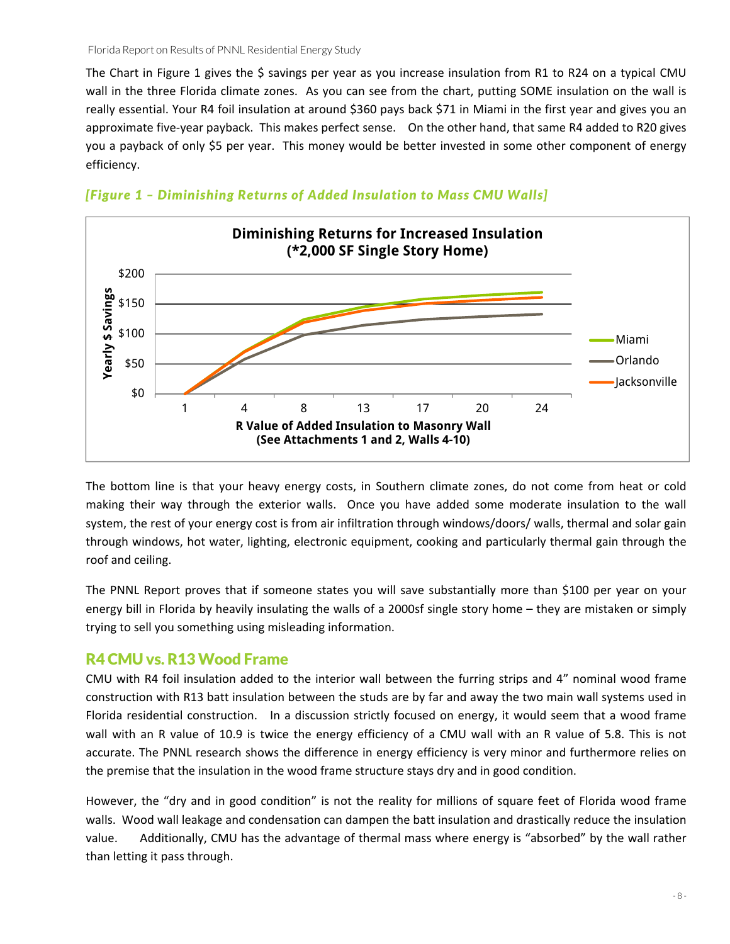The Chart in Figure 1 gives the \$ savings per year as you increase insulation from R1 to R24 on a typical CMU wall in the three Florida climate zones. As you can see from the chart, putting SOME insulation on the wall is really essential. Your R4 foil insulation at around \$360 pays back \$71 in Miami in the first year and gives you an approximate five‐year payback. This makes perfect sense. On the other hand, that same R4 added to R20 gives you a payback of only \$5 per year. This money would be better invested in some other component of energy efficiency.



#### *[Figure 1 – Diminishing Returns of Added Insulation to Mass CMU Walls]*

The bottom line is that your heavy energy costs, in Southern climate zones, do not come from heat or cold making their way through the exterior walls. Dnce you have added some moderate insulation to the wall system, the rest of your energy cost is from air infiltration through windows/doors/ walls, thermal and solar gain through windows, hot water, lighting, electronic equipment, cooking and particularly thermal gain through the roof and ceiling.

The PNNL Report proves that if someone states you will save substantially more than \$100 per year on your energy bill in Florida by heavily insulating the walls of a 2000sf single story home – they are mistaken or simply trying to sell you something using misleading information.

#### R4 CMU vs. R13 Wood Frame

CMU with R4 foil insulation added to the interior wall between the furring strips and 4" nominal wood frame construction with R13 batt insulation between the studs are by far and away the two main wall systems used in Florida residential construction. In a discussion strictly focused on energy, it would seem that a wood frame wall with an R value of 10.9 is twice the energy efficiency of a CMU wall with an R value of 5.8. This is not accurate. The PNNL research shows the difference in energy efficiency is very minor and furthermore relies on the premise that the insulation in the wood frame structure stays dry and in good condition.

However, the "dry and in good condition" is not the reality for millions of square feet of Florida wood frame walls. Wood wall leakage and condensation can dampen the batt insulation and drastically reduce the insulation value. Additionally, CMU has the advantage of thermal mass where energy is "absorbed" by the wall rather than letting it pass through.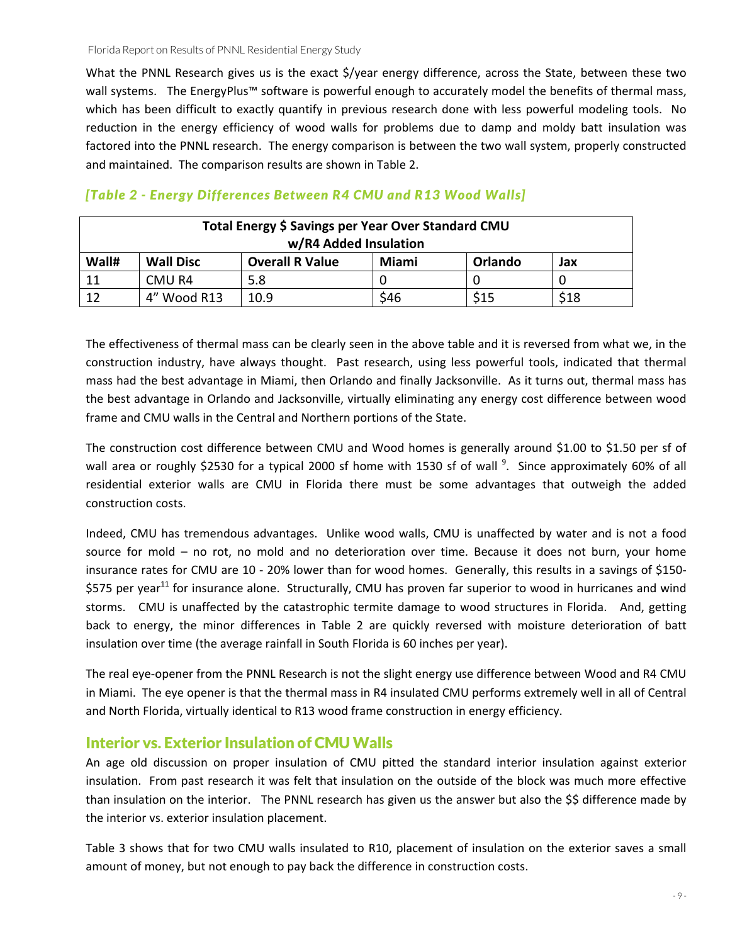What the PNNL Research gives us is the exact \$/year energy difference, across the State, between these two wall systems. The EnergyPlus™ software is powerful enough to accurately model the benefits of thermal mass, which has been difficult to exactly quantify in previous research done with less powerful modeling tools. No reduction in the energy efficiency of wood walls for problems due to damp and moldy batt insulation was factored into the PNNL research. The energy comparison is between the two wall system, properly constructed and maintained. The comparison results are shown in Table 2.

|       |                  | Total Energy \$ Savings per Year Over Standard CMU<br>w/R4 Added Insulation |       |         |      |
|-------|------------------|-----------------------------------------------------------------------------|-------|---------|------|
| Wall# | <b>Wall Disc</b> | <b>Overall R Value</b>                                                      | Miami | Orlando | Jax  |
| 11    | CMU R4           | 5.8                                                                         |       |         |      |
| 12    | 4" Wood R13      | 10.9                                                                        | \$46  | S15     | \$18 |

#### *[Table 2 - Energy Differences Between R4 CMU and R13 Wood Walls]*

The effectiveness of thermal mass can be clearly seen in the above table and it is reversed from what we, in the construction industry, have always thought. Past research, using less powerful tools, indicated that thermal mass had the best advantage in Miami, then Orlando and finally Jacksonville. As it turns out, thermal mass has the best advantage in Orlando and Jacksonville, virtually eliminating any energy cost difference between wood frame and CMU walls in the Central and Northern portions of the State.

The construction cost difference between CMU and Wood homes is generally around \$1.00 to \$1.50 per sf of wall area or roughly \$2530 for a typical 2000 sf home with 1530 sf of wall <sup>9</sup>. Since approximately 60% of all residential exterior walls are CMU in Florida there must be some advantages that outweigh the added construction costs.

Indeed, CMU has tremendous advantages. Unlike wood walls, CMU is unaffected by water and is not a food source for mold – no rot, no mold and no deterioration over time. Because it does not burn, your home insurance rates for CMU are 10 ‐ 20% lower than for wood homes. Generally, this results in a savings of \$150‐ \$575 per year<sup>11</sup> for insurance alone. Structurally, CMU has proven far superior to wood in hurricanes and wind storms. CMU is unaffected by the catastrophic termite damage to wood structures in Florida. And, getting back to energy, the minor differences in Table 2 are quickly reversed with moisture deterioration of batt insulation over time (the average rainfall in South Florida is 60 inches per year).

The real eye-opener from the PNNL Research is not the slight energy use difference between Wood and R4 CMU in Miami. The eye opener is that the thermal mass in R4 insulated CMU performs extremely well in all of Central and North Florida, virtually identical to R13 wood frame construction in energy efficiency.

#### Interior vs. Exterior Insulation of CMU Walls

An age old discussion on proper insulation of CMU pitted the standard interior insulation against exterior insulation. From past research it was felt that insulation on the outside of the block was much more effective than insulation on the interior. The PNNL research has given us the answer but also the \$\$ difference made by the interior vs. exterior insulation placement.

Table 3 shows that for two CMU walls insulated to R10, placement of insulation on the exterior saves a small amount of money, but not enough to pay back the difference in construction costs.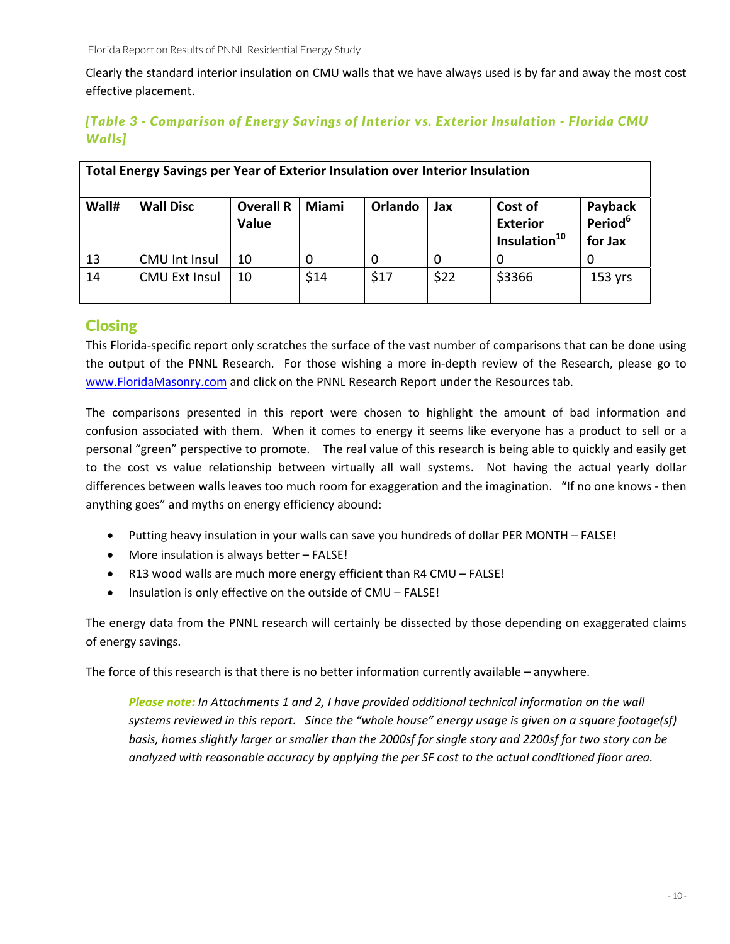Clearly the standard interior insulation on CMU walls that we have always used is by far and away the most cost effective placement.

### *[Table 3 - Comparison of Energy Savings of Interior vs. Exterior Insulation - Florida CMU Walls]*

|       | Total Energy Savings per Year of Exterior Insulation over Interior Insulation |                                  |              |         |      |                                                        |                                           |
|-------|-------------------------------------------------------------------------------|----------------------------------|--------------|---------|------|--------------------------------------------------------|-------------------------------------------|
| Wall# | <b>Wall Disc</b>                                                              | <b>Overall R</b><br><b>Value</b> | <b>Miami</b> | Orlando | Jax  | Cost of<br><b>Exterior</b><br>Insulation <sup>10</sup> | Payback<br>Period <sup>6</sup><br>for Jax |
| 13    | <b>CMU Int Insul</b>                                                          | 10                               |              | 0       |      | 0                                                      |                                           |
| 14    | <b>CMU Ext Insul</b>                                                          | 10                               | \$14         | \$17    | \$22 | \$3366                                                 | $153$ yrs                                 |

# **Closing**

This Florida‐specific report only scratches the surface of the vast number of comparisons that can be done using the output of the PNNL Research. For those wishing a more in‐depth review of the Research, please go to www.FloridaMasonry.com and click on the PNNL Research Report under the Resources tab.

The comparisons presented in this report were chosen to highlight the amount of bad information and confusion associated with them. When it comes to energy it seems like everyone has a product to sell or a personal "green" perspective to promote. The real value of this research is being able to quickly and easily get to the cost vs value relationship between virtually all wall systems. Not having the actual yearly dollar differences between walls leaves too much room for exaggeration and the imagination. "If no one knows ‐ then anything goes" and myths on energy efficiency abound:

- Putting heavy insulation in your walls can save you hundreds of dollar PER MONTH FALSE!
- More insulation is always better FALSE!
- R13 wood walls are much more energy efficient than R4 CMU FALSE!
- Insulation is only effective on the outside of CMU FALSE!

The energy data from the PNNL research will certainly be dissected by those depending on exaggerated claims of energy savings.

The force of this research is that there is no better information currently available – anywhere.

*Please note: In Attachments 1 and 2, I have provided additional technical information on the wall* systems reviewed in this report. Since the "whole house" energy usage is given on a square footage(sf) basis, homes slightly larger or smaller than the 2000sf for single story and 2200sf for two story can be *analyzed with reasonable accuracy by applying the per SF cost to the actual conditioned floor area.*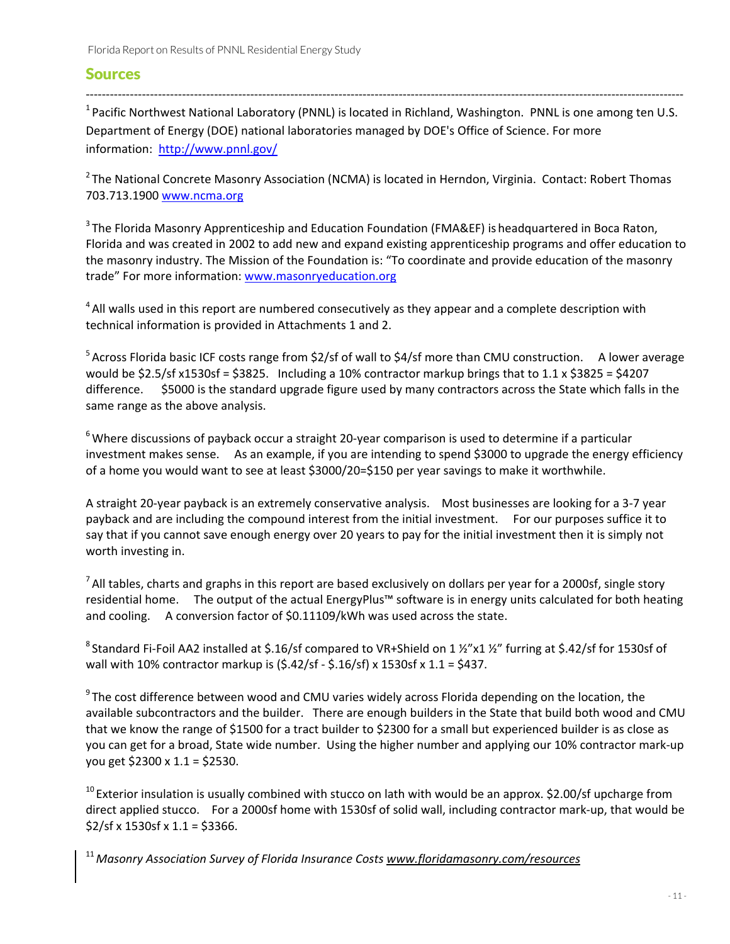#### Sources

 $1$  Pacific Northwest National Laboratory (PNNL) is located in Richland, Washington. PNNL is one among ten U.S. Department of Energy (DOE) national laboratories managed by DOE's Office of Science. For more information: http://www.pnnl.gov/

‐‐‐‐‐‐‐‐‐‐‐‐‐‐‐‐‐‐‐‐‐‐‐‐‐‐‐‐‐‐‐‐‐‐‐‐‐‐‐‐‐‐‐‐‐‐‐‐‐‐‐‐‐‐‐‐‐‐‐‐‐‐‐‐‐‐‐‐‐‐‐‐‐‐‐‐‐‐‐‐‐‐‐‐‐‐‐‐‐‐‐‐‐‐‐‐‐‐‐‐‐‐‐‐‐‐‐‐‐‐‐‐‐‐‐‐‐‐‐‐‐‐‐‐‐‐‐‐‐‐‐‐‐‐‐‐‐‐‐‐‐‐‐‐‐‐‐‐‐

 $2$ The National Concrete Masonry Association (NCMA) is located in Herndon, Virginia. Contact: Robert Thomas 703.713.1900 www.ncma.org

<sup>3</sup> The Florida Masonry Apprenticeship and Education Foundation (FMA&EF) is headquartered in Boca Raton, Florida and was created in 2002 to add new and expand existing apprenticeship programs and offer education to the masonry industry. The Mission of the Foundation is: "To coordinate and provide education of the masonry trade" For more information: www.masonryeducation.org

 $4$ All walls used in this report are numbered consecutively as they appear and a complete description with technical information is provided in Attachments 1 and 2.

 $5$ Across Florida basic ICF costs range from \$2/sf of wall to \$4/sf more than CMU construction. A lower average would be \$2.5/sf x1530sf = \$3825. Including a 10% contractor markup brings that to 1.1 x \$3825 = \$4207 difference. \$5000 is the standard upgrade figure used by many contractors across the State which falls in the same range as the above analysis.

<sup>6</sup> Where discussions of payback occur a straight 20-year comparison is used to determine if a particular investment makes sense. As an example, if you are intending to spend \$3000 to upgrade the energy efficiency of a home you would want to see at least \$3000/20=\$150 per year savings to make it worthwhile.

A straight 20‐year payback is an extremely conservative analysis. Most businesses are looking for a 3‐7 year payback and are including the compound interest from the initial investment. For our purposes suffice it to say that if you cannot save enough energy over 20 years to pay for the initial investment then it is simply not worth investing in.

 $<sup>7</sup>$  All tables, charts and graphs in this report are based exclusively on dollars per year for a 2000sf, single story</sup> residential home. The output of the actual EnergyPlus™ software is in energy units calculated for both heating and cooling. A conversion factor of \$0.11109/kWh was used across the state.

<sup>8</sup> Standard Fi‐Foil AA2 installed at \$.16/sf compared to VR+Shield on 1 ½"x1 ½" furring at \$.42/sf for 1530sf of wall with 10% contractor markup is (\$.42/sf ‐ \$.16/sf) x 1530sf x 1.1 = \$437.

 $9$ The cost difference between wood and CMU varies widely across Florida depending on the location, the available subcontractors and the builder. There are enough builders in the State that build both wood and CMU that we know the range of \$1500 for a tract builder to \$2300 for a small but experienced builder is as close as you can get for a broad, State wide number. Using the higher number and applying our 10% contractor mark‐up you get \$2300 x 1.1 = \$2530.

 $10$  Exterior insulation is usually combined with stucco on lath with would be an approx. \$2.00/sf upcharge from direct applied stucco. For a 2000sf home with 1530sf of solid wall, including contractor mark‐up, that would be  $$2/sf \times 1530s f \times 1.1 = $3366.$ 

<sup>11</sup>*Masonry Association Survey of Florida Insurance Costs www.floridamasonry.com/resources*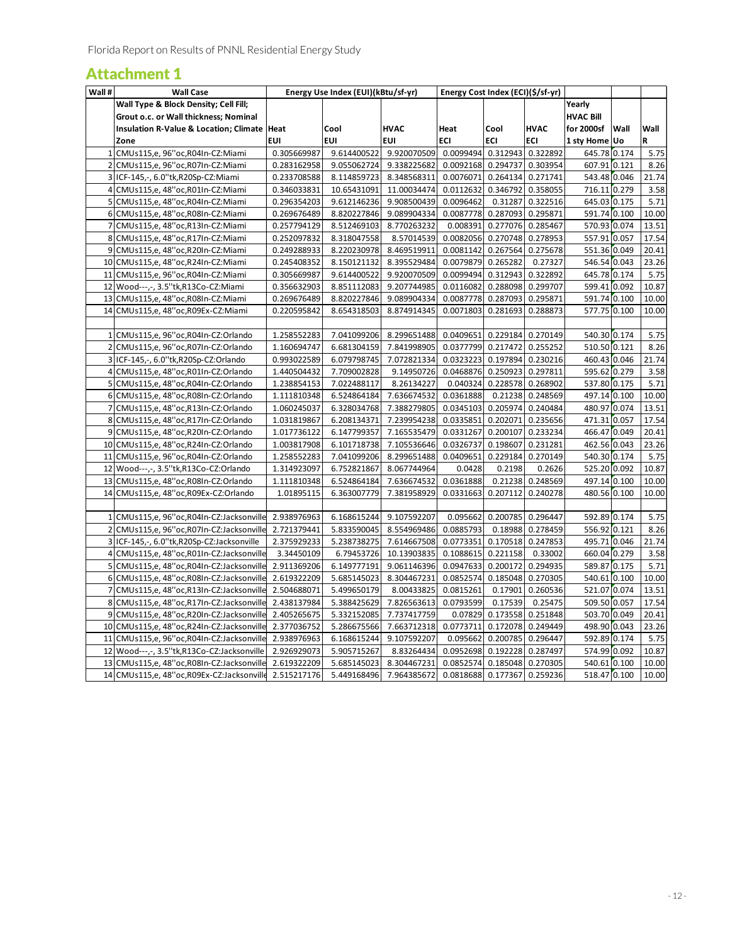# Attachment 1

| Wall # | <b>Wall Case</b>                                                                           |                            | Energy Use Index (EUI)(kBtu/sf-yr) |                                        | Energy Cost Index (ECI)(\$/sf-yr) |                            |                                        |                              |      |                |
|--------|--------------------------------------------------------------------------------------------|----------------------------|------------------------------------|----------------------------------------|-----------------------------------|----------------------------|----------------------------------------|------------------------------|------|----------------|
|        | Wall Type & Block Density; Cell Fill;                                                      |                            |                                    |                                        |                                   |                            |                                        | Yearly                       |      |                |
|        | Grout o.c. or Wall thickness; Nominal                                                      |                            |                                    |                                        |                                   |                            |                                        | <b>HVAC Bill</b>             |      |                |
|        | Insulation R-Value & Location; Climate   Heat                                              |                            | Cool                               | <b>HVAC</b>                            | Heat                              | Cool                       | <b>HVAC</b>                            | for 2000sf                   | Wall | Wall           |
|        | Zone                                                                                       | <b>EUI</b>                 | EUI                                | EUI                                    | ECI                               | ECI                        | ECI                                    | 1 sty Home Uo                |      | R              |
|        | 1 CMUs115,e, 96" oc, R04In-CZ: Miami                                                       | 0.305669987                | 9.614400522                        | 9.920070509                            | 0.0099494                         |                            | 0.312943 0.322892                      | 645.78 0.174                 |      | 5.75           |
|        | 2 CMUs115,e, 96"oc, R07In-CZ: Miami                                                        | 0.283162958                | 9.055062724                        | 9.338225682                            | 0.0092168 0.294737 0.303954       |                            |                                        | 607.91 0.121                 |      | 8.26           |
|        | 3 ICF-145,-, 6.0"tk, R20Sp-CZ: Miami                                                       | 0.233708588                | 8.114859723                        | 8.348568311                            | 0.0076071 0.264134 0.271741       |                            |                                        | 543.48 0.046                 |      | 21.74          |
|        | 4 CMUs115,e, 48"oc, R01In-CZ: Miami                                                        | 0.346033831                | 10.65431091                        | 11.00034474                            | 0.0112632                         |                            | 0.346792 0.358055                      | 716.11 0.279                 |      | 3.58           |
|        | 5 CMUs115,e, 48"oc, R04In-CZ: Miami                                                        | 0.296354203                | 9.612146236                        | 9.908500439                            | 0.0096462                         |                            | 0.31287 0.322516                       | 645.03 0.175                 |      | 5.71           |
|        | 6 CMUs115,e, 48"oc, R08In-CZ: Miami                                                        | 0.269676489                | 8.820227846                        | 9.089904334                            | 0.0087778 0.287093 0.295871       |                            |                                        | 591.74 0.100                 |      | 10.00          |
|        | 7 CMUs115,e, 48"oc,R13In-CZ:Miami                                                          | 0.257794129                | 8.512469103                        | 8.770263232                            | 0.008391                          | 0.277076 0.285467          |                                        | 570.93 0.074                 |      | 13.51          |
|        | 8 CMUs115,e, 48"oc, R17In-CZ: Miami                                                        | 0.252097832                | 8.318047558                        | 8.57014539 0.0082056 0.270748 0.278953 |                                   |                            |                                        | 557.91 0.057                 |      | 17.54          |
|        | 9 CMUs115,e, 48"oc, R20In-CZ: Miami                                                        | 0.249288933                | 8.220230978                        | 8.469519911                            | 0.0081142                         |                            | 0.267564 0.275678                      | 551.36 0.049                 |      | 20.41          |
|        | 10 CMUs115,e, 48"oc, R24In-CZ: Miami                                                       | 0.245408352                | 8.150121132                        | 8.395529484                            | 0.0079879 0.265282                |                            | 0.27327                                | 546.54 0.043                 |      | 23.26          |
|        | 11 CMUs115,e, 96"oc, R04In-CZ: Miami                                                       | 0.305669987                | 9.614400522                        | 9.920070509                            | 0.0099494                         | 0.312943 0.322892          |                                        | 645.78 0.174                 |      | 5.75           |
|        | 12 Wood---,-, 3.5"tk, R13Co-CZ: Miami                                                      | 0.356632903                | 8.851112083                        | 9.207744985                            | 0.0116082                         |                            | 0.288098 0.299707                      | 599.41 0.092                 |      | 10.87          |
|        | 13 CMUs115,e, 48" oc, R08In-CZ: Miami                                                      | 0.269676489                | 8.820227846                        | 9.089904334                            | 0.0087778                         | 0.287093 0.295871          |                                        | 591.74 0.100                 |      | 10.00          |
|        | 14 CMUs115,e, 48"oc, R09Ex-CZ: Miami                                                       | 0.220595842                | 8.654318503                        | 8.874914345                            | 0.0071803                         | 0.281693                   | 0.288873                               | 577.75 0.100                 |      | 10.00          |
|        |                                                                                            |                            |                                    |                                        |                                   |                            |                                        |                              |      |                |
|        | 1 CMUs115,e, 96"oc, R04In-CZ: Orlando                                                      | 1.258552283                | 7.041099206                        | 8.299651488                            | 0.0409651                         |                            | 0.229184 0.270149                      | 540.30 0.174                 |      | 5.75           |
|        | 2 CMUs115,e, 96"oc, R07In-CZ: Orlando                                                      | 1.160694747                | 6.681304159                        | 7.841998905                            | 0.0377799                         |                            | 0.217472 0.255252                      | 510.50 0.121                 |      | 8.26           |
|        | 3 ICF-145,-, 6.0"tk, R20Sp-CZ: Orlando                                                     | 0.993022589                | 6.079798745                        | 7.072821334                            | 0.0323223                         |                            | 0.197894 0.230216                      | 460.43 0.046                 |      | 21.74          |
|        | 4 CMUs115,e, 48"oc, R01In-CZ: Orlando                                                      | 1.440504432                | 7.709002828                        | 9.14950726                             | 0.0468876                         |                            | 0.250923 0.297811                      | 595.62 0.279                 |      | 3.58           |
|        | 5 CMUs115,e, 48"oc, R04In-CZ: Orlando                                                      | 1.238854153                | 7.022488117                        | 8.26134227                             | 0.040324                          |                            | 0.228578 0.268902                      | 537.80 0.175                 |      | 5.71           |
|        | 6 CMUs115,e, 48"oc, R08In-CZ: Orlando                                                      | 1.111810348                | 6.524864184                        | 7.636674532                            | 0.0361888                         |                            | 0.21238 0.248569                       | 497.14 0.100                 |      | 10.00          |
|        | 7 CMUs115,e, 48"oc, R13In-CZ: Orlando                                                      | 1.060245037                | 6.328034768                        | 7.388279805                            | 0.0345103                         |                            | 0.205974 0.240484                      | 480.97 0.074                 |      | 13.51          |
|        | 8 CMUs115,e, 48"oc, R17In-CZ: Orlando                                                      | 1.031819867                | 6.208134371                        | 7.239954238                            | 0.0335851                         |                            | 0.202071 0.235656                      | 471.31 0.057                 |      | 17.54          |
|        | 9 CMUs115,e, 48" oc, R20In-CZ: Orlando                                                     | 1.017736122                | 6.147799357                        | 7.165535479                            | 0.0331267                         | 0.200107                   | 0.233234                               | 466.47 0.049                 |      | 20.41          |
|        | 10 CMUs115,e, 48"oc, R24In-CZ: Orlando                                                     | 1.003817908                | 6.101718738                        | 7.105536646                            | 0.0326737                         | 0.198607                   | 0.231281                               | 462.56 0.043                 |      | 23.26          |
|        | 11 CMUs115,e, 96"oc, R04In-CZ: Orlando                                                     | 1.258552283                | 7.041099206                        | 8.299651488                            | 0.0409651                         | 0.229184 0.270149          |                                        | 540.30 0.174                 |      | 5.75           |
|        | 12 Wood---,-, 3.5"tk, R13Co-CZ: Orlando                                                    | 1.314923097                | 6.752821867                        | 8.067744964                            | 0.0428                            | 0.2198                     | 0.2626                                 | 525.20 0.092                 |      | 10.87          |
|        | 13 CMUs115,e, 48"oc, R08In-CZ: Orlando                                                     | 1.111810348                | 6.524864184                        | 7.636674532                            | 0.0361888                         |                            | 0.21238 0.248569                       | 497.14 0.100                 |      | 10.00          |
|        | 14 CMUs115,e, 48"oc, R09Ex-CZ: Orlando                                                     | 1.01895115                 | 6.363007779                        | 7.381958929                            | 0.0331663                         |                            | 0.207112 0.240278                      | 480.56 0.100                 |      | 10.00          |
|        |                                                                                            |                            |                                    |                                        |                                   |                            |                                        |                              |      |                |
|        | 1 CMUs115,e, 96"oc, R04In-CZ: Jacksonville                                                 | 2.938976963                |                                    | 6.168615244 9.107592207                |                                   | 0.095662 0.200785 0.296447 |                                        | 592.89 0.174                 |      | 5.75           |
|        | 2 CMUs115,e, 96"oc, R07In-CZ: Jacksonville                                                 | 2.721379441                | 5.833590045                        | 8.554969486                            | 0.0885793                         |                            | 0.18988 0.278459                       | 556.92 0.121                 |      | 8.26           |
|        | 3 ICF-145,-, 6.0"tk, R20Sp-CZ: Jacksonville                                                | 2.375929233                | 5.238738275                        | 7.614667508                            | 0.0773351                         | 0.170518 0.247853          |                                        | 495.71 0.046                 |      | 21.74          |
|        | 4 CMUs115,e, 48"oc, R01In-CZ: Jacksonville                                                 | 3.34450109                 | 6.79453726                         | 10.13903835                            | 0.1088615                         | 0.221158                   | 0.33002                                | 660.04 0.279                 |      | 3.58<br>5.71   |
|        | 5 CMUs115,e, 48" oc, R04In-CZ: Jacksonville                                                | 2.911369206                | 6.149777191                        | 9.061146396                            | 0.0947633                         |                            | 0.200172 0.294935                      | 589.87 0.175                 |      |                |
|        | 6 CMUs115,e, 48"oc, R08In-CZ: Jacksonville                                                 | 2.619322209<br>2.504688071 | 5.685145023<br>5.499650179         | 8.304467231<br>8.00433825              | 0.0852574<br>0.0815261            |                            | 0.185048 0.270305<br>0.17901 0.260536  | 540.61 0.100<br>521.07 0.074 |      | 10.00<br>13.51 |
|        | 7 CMUs115,e, 48"oc, R13In-CZ: Jacksonville                                                 |                            |                                    |                                        |                                   |                            |                                        | 509.50 0.057                 |      | 17.54          |
|        | 8 CMUs115,e, 48"oc, R17In-CZ: Jacksonville                                                 | 2.438137984                | 5.388425629                        | 7.826563613                            | 0.0793599                         |                            | 0.17539 0.25475                        | 503.70 0.049                 |      |                |
|        | 9 CMUs115,e, 48"oc, R20In-CZ: Jacksonville                                                 | 2.405265675                | 5.332152085                        | 7.737417759                            | 0.07829<br>0.0773711              |                            | 0.173558 0.251848<br>0.172078 0.249449 | 498.90 0.043                 |      | 20.41          |
|        | 10 CMUs115,e, 48"oc, R24In-CZ: Jacksonville<br>11 CMUs115,e, 96"oc, R04In-CZ: Jacksonville | 2.377036752<br>2.938976963 | 5.286675566<br>6.168615244         | 7.663712318<br>9.107592207             | 0.095662                          | 0.200785                   | 0.296447                               | 592.89 0.174                 |      | 23.26<br>5.75  |
| 12     | Wood---,-, 3.5"tk,R13Co-CZ:Jacksonville                                                    | 2.926929073                | 5.905715267                        | 8.83264434                             | 0.0952698                         |                            | 0.192228 0.287497                      | 574.99 0.092                 |      | 10.87          |
|        | 13 CMUs115,e, 48"oc, R08In-CZ: Jacksonville                                                | 2.619322209                | 5.685145023                        | 8.304467231                            | 0.0852574                         | 0.185048                   | 0.270305                               | 540.61 0.100                 |      | 10.00          |
|        | 14 CMUs115,e, 48"oc, R09Ex-CZ: Jacksonville                                                | 2.515217176                | 5.449168496                        | 7.964385672                            | 0.0818688                         |                            | 0.177367 0.259236                      | 518.47 0.100                 |      | 10.00          |
|        |                                                                                            |                            |                                    |                                        |                                   |                            |                                        |                              |      |                |